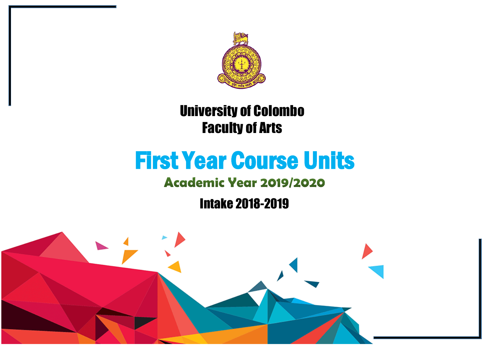

## University of Colombo Faculty of Arts

# First Year Course Units

### **Academic Year 2019/2020**

Intake 2018-2019

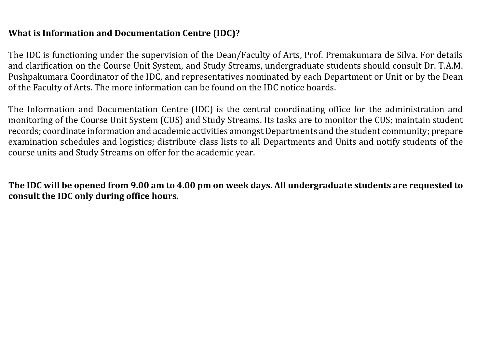#### **What is Information and Documentation Centre (IDC)?**

The IDC is functioning under the supervision of the Dean/Faculty of Arts, Prof. Premakumara de Silva. For details and clarification on the Course Unit System, and Study Streams, undergraduate students should consult Dr. T.A.M. Pushpakumara Coordinator of the IDC, and representatives nominated by each Department or Unit or by the Dean of the Faculty of Arts. The more information can be found on the IDC notice boards.

The Information and Documentation Centre (IDC) is the central coordinating office for the administration and monitoring of the Course Unit System (CUS) and Study Streams. Its tasks are to monitor the CUS; maintain student records; coordinate information and academic activities amongst Departments and the student community; prepare examination schedules and logistics; distribute class lists to all Departments and Units and notify students of the course units and Study Streams on offer for the academic year.

**The IDC will be opened from 9.00 am to 4.00 pm on week days. All undergraduate students are requested to consult the IDC only during office hours.**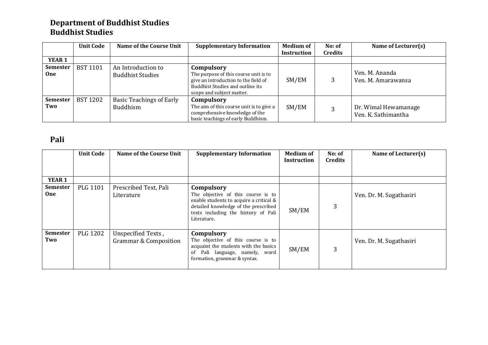#### **Department of Buddhist Studies Buddhist Studies**

|                        | <b>Unit Code</b> | Name of the Course Unit                            | <b>Supplementary Information</b>                                                                                                                             | <b>Medium of</b><br>Instruction | No: of<br>Credits | Name of Lecturer(s)                         |
|------------------------|------------------|----------------------------------------------------|--------------------------------------------------------------------------------------------------------------------------------------------------------------|---------------------------------|-------------------|---------------------------------------------|
| <b>YEAR 1</b>          |                  |                                                    |                                                                                                                                                              |                                 |                   |                                             |
| <b>Semester</b><br>0ne | <b>BST 1101</b>  | An Introduction to<br><b>Buddhist Studies</b>      | Compulsory<br>The purpose of this course unit is to<br>give an introduction to the field of<br>Buddhist Studies and outline its<br>scope and subject matter. | SM/EM                           | 3                 | Ven. M. Ananda<br>Ven. M. Amarawansa        |
| <b>Semester</b><br>Two | <b>BST 1202</b>  | <b>Basic Teachings of Early</b><br><b>Buddhism</b> | Compulsory<br>The aim of this course unit is to give a<br>comprehensive knowledge of the<br>basic teachings of early Buddhism.                               | SM/EM                           |                   | Dr. Wimal Hewamanage<br>Ven. K. Sathimantha |

#### **Pali**

|                               | <b>Unit Code</b> | Name of the Course Unit                                | <b>Supplementary Information</b>                                                                                                                                                          | <b>Medium of</b><br><b>Instruction</b> | No: of<br><b>Credits</b> | Name of Lecturer(s)     |
|-------------------------------|------------------|--------------------------------------------------------|-------------------------------------------------------------------------------------------------------------------------------------------------------------------------------------------|----------------------------------------|--------------------------|-------------------------|
| <b>YEAR 1</b>                 |                  |                                                        |                                                                                                                                                                                           |                                        |                          |                         |
| <b>Semester</b><br><b>One</b> | PLG 1101         | Prescribed Text, Pali<br>Literature                    | Compulsory<br>The objective of this course is to<br>enable students to acquire a critical &<br>detailed knowledge of the prescribed<br>texts including the history of Pali<br>Literature. | SM/EM                                  | 3                        | Ven. Dr. M. Sugathasiri |
| Semester<br>Two               | <b>PLG 1202</b>  | Unspecified Texts,<br><b>Grammar &amp; Composition</b> | Compulsory<br>The objective of this course is to<br>acquaint the students with the basics<br>of Pali language, namely, word<br>formation, grammar & syntax.                               | SM/EM                                  | 3                        | Ven. Dr. M. Sugathasiri |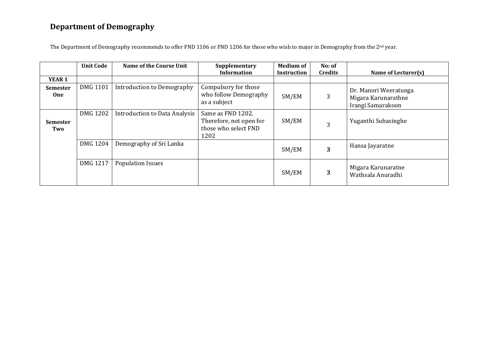#### **Department of Demography**

The Department of Demography recommends to offer FND 1106 or FND 1206 for those who wish to major in Demography from the 2<sup>nd</sup> year.

|                               | <b>Unit Code</b> | Name of the Course Unit       | Supplementary<br><b>Information</b>                                          | <b>Medium of</b><br>Instruction | No: of<br><b>Credits</b> | Name of Lecturer(s)                                               |
|-------------------------------|------------------|-------------------------------|------------------------------------------------------------------------------|---------------------------------|--------------------------|-------------------------------------------------------------------|
| <b>YEAR 1</b>                 |                  |                               |                                                                              |                                 |                          |                                                                   |
| <b>Semester</b><br><b>One</b> | <b>DMG 1101</b>  | Introduction to Demography    | Compulsory for those<br>who follow Demography<br>as a subject                | SM/EM                           | 3                        | Dr. Manori Weeratunga<br>Migara Karunarathne<br>Irangi Samarakoon |
| <b>Semester</b><br>Two        | DMG 1202         | Introduction to Data Analysis | Same as FND 1202.<br>Therefore, not open for<br>those who select FND<br>1202 | SM/EM                           | 3                        | Yuganthi Subasinghe                                               |
|                               | <b>DMG 1204</b>  | Demography of Sri Lanka       |                                                                              | SM/EM                           | 3                        | Hansa Jayaratne                                                   |
|                               | DMG 1217         | <b>Population Issues</b>      |                                                                              | SM/EM                           | 3                        | Migara Karunaratne<br>Wathsala Anuradhi                           |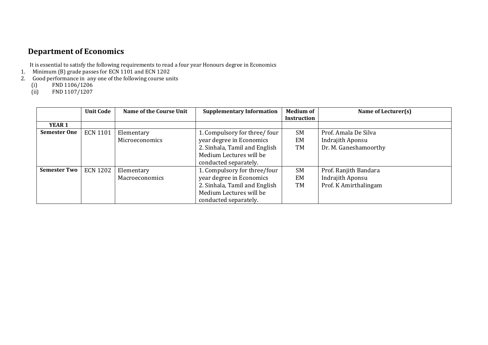#### **Department of Economics**

It is essential to satisfy the following requirements to read a four year Honours degree in Economics

- 1. Minimum (B) grade passes for ECN 1101 and ECN 1202
- 2. Good performance in any one of the following course units<br>
(i) FND 1106/1206<br>
(ii) FND 1107/1207
	- FND 1106/1206
	- FND 1107/1207

|                     | <b>Unit Code</b> | Name of the Course Unit | <b>Supplementary Information</b> | <b>Medium of</b>   | Name of Lecturer(s)   |
|---------------------|------------------|-------------------------|----------------------------------|--------------------|-----------------------|
|                     |                  |                         |                                  | <b>Instruction</b> |                       |
| <b>YEAR 1</b>       |                  |                         |                                  |                    |                       |
| <b>Semester One</b> | <b>ECN 1101</b>  | Elementary              | 1. Compulsory for three/four     | <b>SM</b>          | Prof. Amala De Silva  |
|                     |                  | Microeconomics          | year degree in Economics         | EM                 | Indrajith Aponsu      |
|                     |                  |                         | 2. Sinhala, Tamil and English    | TM                 | Dr. M. Ganeshamoorthy |
|                     |                  |                         | Medium Lectures will be          |                    |                       |
|                     |                  |                         | conducted separately.            |                    |                       |
| <b>Semester Two</b> | <b>ECN 1202</b>  | Elementary              | 1. Compulsory for three/four     | <b>SM</b>          | Prof. Ranjith Bandara |
|                     |                  | Macroeconomics          | year degree in Economics         | EM                 | Indrajith Aponsu      |
|                     |                  |                         | 2. Sinhala, Tamil and English    | TM                 | Prof. K Amirthalingam |
|                     |                  |                         | Medium Lectures will be          |                    |                       |
|                     |                  |                         | conducted separately.            |                    |                       |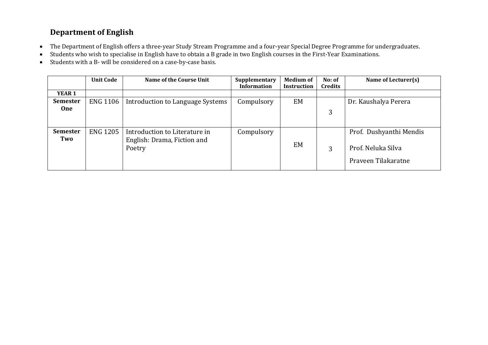#### **Department of English**

- The Department of English offers a three-year Study Stream Programme and a four-year Special Degree Programme for undergraduates.
- Students who wish to specialise in English have to obtain a B grade in two English courses in the First-Year Examinations.
- Students with a B- will be considered on a case-by-case basis.

|                        | <b>Unit Code</b> | <b>Name of the Course Unit</b>                                         | Supplementary<br><b>Information</b> | <b>Medium of</b><br><b>Instruction</b> | No: of<br><b>Credits</b> | Name of Lecturer(s)                                                  |
|------------------------|------------------|------------------------------------------------------------------------|-------------------------------------|----------------------------------------|--------------------------|----------------------------------------------------------------------|
| <b>YEAR 1</b>          |                  |                                                                        |                                     |                                        |                          |                                                                      |
| <b>Semester</b>        | <b>ENG 1106</b>  | Introduction to Language Systems                                       | Compulsory                          | EM                                     |                          | Dr. Kaushalya Perera                                                 |
| <b>One</b>             |                  |                                                                        |                                     |                                        | 3                        |                                                                      |
| <b>Semester</b><br>Two | <b>ENG 1205</b>  | Introduction to Literature in<br>English: Drama, Fiction and<br>Poetry | Compulsory                          | EM                                     | 3                        | Prof. Dushyanthi Mendis<br>Prof. Neluka Silva<br>Praveen Tilakaratne |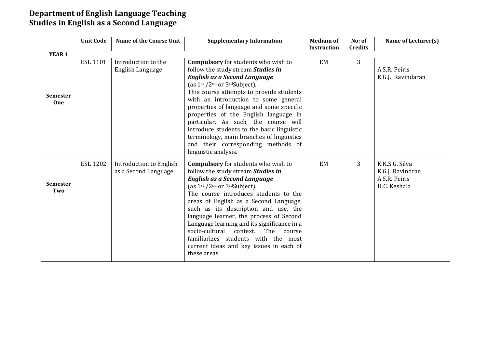#### **Department of English Language Teaching Studies in English as a Second Language**

|                        | <b>Unit Code</b> | Name of the Course Unit                                | <b>Supplementary Information</b>                                                                                                                                                                                                                                                                                                                                                                                                                                                                                                        | <b>Medium of</b><br>Instruction | No: of<br><b>Credits</b> | Name of Lecturer(s)                                                 |
|------------------------|------------------|--------------------------------------------------------|-----------------------------------------------------------------------------------------------------------------------------------------------------------------------------------------------------------------------------------------------------------------------------------------------------------------------------------------------------------------------------------------------------------------------------------------------------------------------------------------------------------------------------------------|---------------------------------|--------------------------|---------------------------------------------------------------------|
| <b>YEAR 1</b>          |                  |                                                        |                                                                                                                                                                                                                                                                                                                                                                                                                                                                                                                                         |                                 |                          |                                                                     |
| <b>Semester</b><br>One | <b>ESL 1101</b>  | Introduction to the<br>English Language                | <b>Compulsory</b> for students who wish to<br>follow the study stream Studies in<br><b>English as a Second Language</b><br>(as $1st / 2nd$ or $3rd$ Subject).<br>This course attempts to provide students<br>with an introduction to some general<br>properties of language and some specific<br>properties of the English language in<br>particular. As such, the course will<br>introduce students to the basic linguistic<br>terminology, main branches of linguistics<br>and their corresponding methods of<br>linguistic analysis. | EM                              | 3                        | A.S.R. Peiris<br>K.G.J. Ravindaran                                  |
| <b>Semester</b><br>Two | <b>ESL 1202</b>  | <b>Introduction to English</b><br>as a Second Language | <b>Compulsory</b> for students who wish to<br>follow the study stream Studies in<br><b>English as a Second Language</b><br>(as $1st / 2nd$ or $3rd$ Subject).<br>The course introduces students to the<br>areas of English as a Second Language,<br>such as its description and use, the<br>language learner, the process of Second<br>Language learning and its significance in a<br>socio-cultural context.<br>The<br>course<br>familiarizes students with the most<br>current ideas and key issues in each of<br>these areas.        | EM                              | 3                        | K.K.S.G. Silva<br>K.G.J. Ravindran<br>A.S.R. Peiris<br>H.C. Keshala |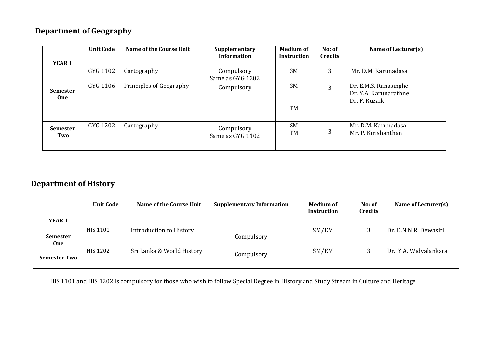#### **Department of Geography**

|                        | <b>Unit Code</b> | Name of the Course Unit | Supplementary<br><b>Information</b> | <b>Medium of</b><br><b>Instruction</b> | No: of<br><b>Credits</b> | Name of Lecturer(s)                                             |
|------------------------|------------------|-------------------------|-------------------------------------|----------------------------------------|--------------------------|-----------------------------------------------------------------|
| <b>YEAR 1</b>          |                  |                         |                                     |                                        |                          |                                                                 |
|                        | GYG 1102         | Cartography             | Compulsory<br>Same as GYG 1202      | <b>SM</b>                              | 3                        | Mr. D.M. Karunadasa                                             |
| <b>Semester</b><br>One | GYG 1106         | Principles of Geography | Compulsory                          | <b>SM</b>                              | 3                        | Dr. E.M.S. Ranasinghe<br>Dr. Y.A. Karunarathne<br>Dr. F. Ruzaik |
|                        |                  |                         |                                     | <b>TM</b>                              |                          |                                                                 |
| <b>Semester</b><br>Two | GYG 1202         | Cartography             | Compulsory<br>Same as GYG 1102      | <b>SM</b><br><b>TM</b>                 | 3                        | Mr. D.M. Karunadasa<br>Mr. P. Kirishanthan                      |

#### **Department of History**

|                               | <b>Unit Code</b> | Name of the Course Unit   | <b>Supplementary Information</b> | <b>Medium of</b><br>Instruction | No: of<br><b>Credits</b> | Name of Lecturer(s)   |
|-------------------------------|------------------|---------------------------|----------------------------------|---------------------------------|--------------------------|-----------------------|
| YEAR 1                        |                  |                           |                                  |                                 |                          |                       |
| <b>Semester</b><br><b>One</b> | HIS 1101         | Introduction to History   | Compulsory                       | SM/EM                           |                          | Dr. D.N.N.R. Dewasiri |
| <b>Semester Two</b>           | HIS 1202         | Sri Lanka & World History | Compulsory                       | SM/EM                           |                          | Dr. Y.A. Widyalankara |

HIS 1101 and HIS 1202 is compulsory for those who wish to follow Special Degree in History and Study Stream in Culture and Heritage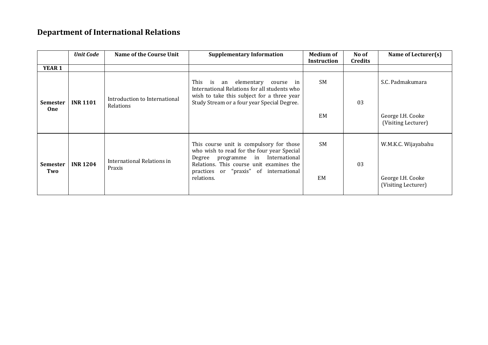#### **Department of International Relations**

|                               | <b>Unit Code</b> | Name of the Course Unit              | <b>Supplementary Information</b>                                                                                                                                           | <b>Medium of</b> | No of          | Name of Lecturer(s)                      |
|-------------------------------|------------------|--------------------------------------|----------------------------------------------------------------------------------------------------------------------------------------------------------------------------|------------------|----------------|------------------------------------------|
|                               |                  |                                      |                                                                                                                                                                            | Instruction      | <b>Credits</b> |                                          |
| <b>YEAR 1</b>                 |                  |                                      |                                                                                                                                                                            |                  |                |                                          |
|                               |                  | Introduction to International        | This<br>is<br>an elementary<br>course in<br>International Relations for all students who<br>wish to take this subject for a three year                                     | <b>SM</b>        |                | S.C. Padmakumara                         |
| <b>Semester</b><br><b>One</b> | <b>INR 1101</b>  | Relations                            | Study Stream or a four year Special Degree.                                                                                                                                | 03<br><b>EM</b>  |                | George I.H. Cooke<br>(Visiting Lecturer) |
| <b>Semester</b><br>Two        | <b>INR 1204</b>  | International Relations in<br>Praxis | This course unit is compulsory for those<br>who wish to read for the four year Special<br>programme in International<br>Degree<br>Relations. This course unit examines the | <b>SM</b>        | 03             | W.M.K.C. Wijayabahu                      |
|                               |                  |                                      | practices or "praxis" of international<br>relations.                                                                                                                       | EM               |                | George I.H. Cooke<br>(Visiting Lecturer) |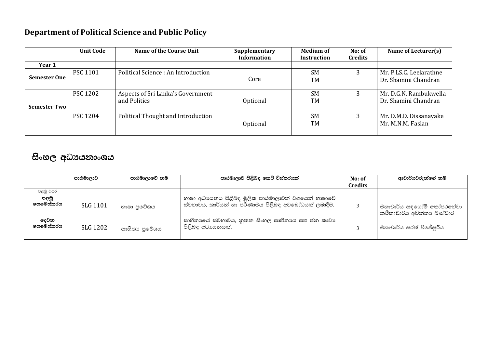#### **Department of Political Science and Public Policy**

|                     | <b>Unit Code</b> | Name of the Course Unit                           | Supplementary<br><b>Information</b> | <b>Medium of</b><br>Instruction | No: of<br><b>Credits</b> | Name of Lecturer(s)                             |
|---------------------|------------------|---------------------------------------------------|-------------------------------------|---------------------------------|--------------------------|-------------------------------------------------|
| Year 1              |                  |                                                   |                                     |                                 |                          |                                                 |
| <b>Semester One</b> | <b>PSC 1101</b>  | Political Science: An Introduction                | Core                                | <b>SM</b><br>TM                 |                          | Mr. P.LS.C. Leelarathne<br>Dr. Shamini Chandran |
| <b>Semester Two</b> | <b>PSC 1202</b>  | Aspects of Sri Lanka's Government<br>and Politics | Optional                            | <b>SM</b><br>TM                 |                          | Mr. D.G.N. Rambukwella<br>Dr. Shamini Chandran  |
|                     | <b>PSC 1204</b>  | Political Thought and Introduction                | Optional                            | <b>SM</b><br><b>TM</b>          | 3                        | Mr. D.M.D. Dissanayake<br>Mr. M.N.M. Faslan     |

#### සිංහල අධාපයනාංශය

|                         | පාඨමාලාව | පාඨමාලාවේ නම  | පාඨමාලාව පිළිබඳ කෙටි විස්තරයක්                                                                            | No: of         | ආචාර්යවරුන්ගේ නම්                                     |
|-------------------------|----------|---------------|-----------------------------------------------------------------------------------------------------------|----------------|-------------------------------------------------------|
|                         |          |               |                                                                                                           | <b>Credits</b> |                                                       |
| පළමු වසර                |          |               |                                                                                                           |                |                                                       |
| පළමු<br>෧සමෙස්තරය       | SLG 1101 | භාෂා පුවේශය   | භාෂා අධාපයනය පිළිබඳ මූලික පාඨමාලාවක් වශයෙන් භාෂාවේ<br>ස්වභාවය, කාර්යන් හා පරිණාමය පිළිබඳ අවබෝධයක් ලබාදීම. |                | මහාචාර්ය සඳගෝමී කෝපරනේවා<br>කථිකාචාර්ය අචින්තා බණ්ඩාර |
| <b>ෙවන</b><br>ලසමෙස්තරය | SLG 1202 | සාහිතා පුවේශය | සාහිතාගේ ස්වභාවය, නූතන සිංහල සාහිතාගෙ සහ ජන කාවා<br>පිළිබඳ අධාපයනයක්.                                     |                | මහාචාර්ය සරත් විජේසුරිය                               |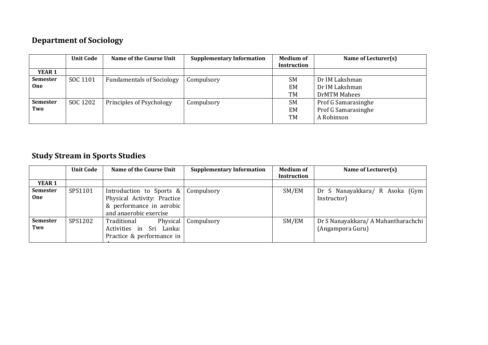#### **Department of Sociology**

|                 | <b>Unit Code</b> | Name of the Course Unit          | <b>Supplementary Information</b> | <b>Medium of</b>   | Name of Lecturer(s) |
|-----------------|------------------|----------------------------------|----------------------------------|--------------------|---------------------|
|                 |                  |                                  |                                  | <b>Instruction</b> |                     |
| YEAR 1          |                  |                                  |                                  |                    |                     |
| <b>Semester</b> | SOC 1101         | <b>Fundamentals of Sociology</b> | Compulsory                       | <b>SM</b>          | Dr IM Lakshman      |
| One             |                  |                                  |                                  | EM                 | Dr IM Lakshman      |
|                 |                  |                                  |                                  | <b>TM</b>          | DrMTM Mahees        |
| <b>Semester</b> | SOC 1202         | Principles of Psychology         | Compulsory                       | <b>SM</b>          | Prof G Samarasinghe |
| Two             |                  |                                  |                                  | EM                 | Prof G Samarasinghe |
|                 |                  |                                  |                                  | TM                 | A Robinson          |

#### **Study Stream in Sports Studies**

|                 | <b>Unit Code</b> | Name of the Course Unit     | <b>Supplementary Information</b> | <b>Medium of</b> | Name of Lecturer(s)                 |
|-----------------|------------------|-----------------------------|----------------------------------|------------------|-------------------------------------|
|                 |                  |                             |                                  | Instruction      |                                     |
| YEAR 1          |                  |                             |                                  |                  |                                     |
| <b>Semester</b> | SPS1101          | Introduction to Sports &    | Compulsory                       | SM/EM            | Dr S Nanayakkara/ R Asoka (Gym      |
| One             |                  | Physical Activity: Practice |                                  |                  | Instructor)                         |
|                 |                  | & performance in aerobic    |                                  |                  |                                     |
|                 |                  | and anaerobic exercise      |                                  |                  |                                     |
| <b>Semester</b> | SPS1202          | Traditional<br>Physical     | Compulsory                       | SM/EM            | Dr S Nanayakkara/ A Mahantharachchi |
| Two             |                  | Activities in Sri Lanka:    |                                  |                  | (Angampora Guru)                    |
|                 |                  | Practice & performance in   |                                  |                  |                                     |
|                 |                  |                             |                                  |                  |                                     |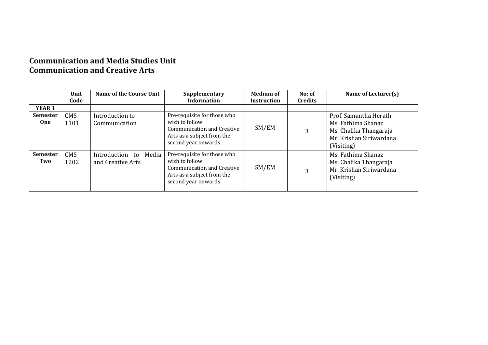#### **Communication and Media Studies Unit Communication and Creative Arts**

|                               | Unit               | Name of the Course Unit                       | Supplementary                                                                                                                            | <b>Medium of</b>   | No: of         | Name of Lecturer(s)                                                                                            |
|-------------------------------|--------------------|-----------------------------------------------|------------------------------------------------------------------------------------------------------------------------------------------|--------------------|----------------|----------------------------------------------------------------------------------------------------------------|
|                               | Code               |                                               | <b>Information</b>                                                                                                                       | <b>Instruction</b> | <b>Credits</b> |                                                                                                                |
| YEAR <sub>1</sub>             |                    |                                               |                                                                                                                                          |                    |                |                                                                                                                |
| <b>Semester</b><br><b>One</b> | <b>CMS</b><br>1101 | Introduction to<br>Communication              | Pre-requisite for those who<br>wish to follow<br>Communication and Creative<br>Arts as a subject from the<br>second year onwards.        | SM/EM              | 3              | Prof. Samantha Herath<br>Ms. Fathima Shanaz<br>Ms. Chalika Thangaraja<br>Mr. Krishan Siriwardana<br>(Visiting) |
| <b>Semester</b><br>Two        | <b>CMS</b><br>1202 | Introduction to<br>Media<br>and Creative Arts | Pre-requisite for those who<br>wish to follow<br><b>Communication and Creative</b><br>Arts as a subject from the<br>second year onwards. | SM/EM              | 3              | Ms. Fathima Shanaz<br>Ms. Chalika Thangaraja<br>Mr. Krishan Siriwardana<br>(Visiting)                          |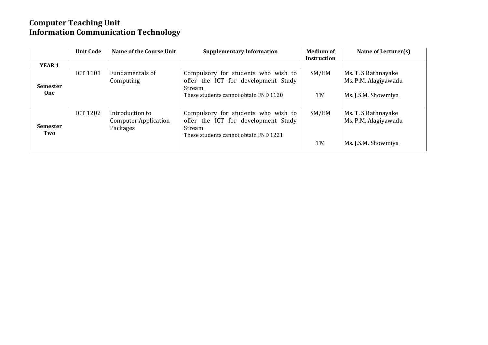#### **Computer Teaching Unit Information Communication Technology**

|                               | <b>Unit Code</b> | Name of the Course Unit                                    | <b>Supplementary Information</b>                                                                                               | <b>Medium of</b><br><b>Instruction</b> | Name of Lecturer(s)                                                |
|-------------------------------|------------------|------------------------------------------------------------|--------------------------------------------------------------------------------------------------------------------------------|----------------------------------------|--------------------------------------------------------------------|
| YEAR <sub>1</sub>             |                  |                                                            |                                                                                                                                |                                        |                                                                    |
| <b>Semester</b><br><b>One</b> | <b>ICT 1101</b>  | Fundamentals of<br>Computing                               | Compulsory for students who wish to<br>offer the ICT for development Study<br>Stream.<br>These students cannot obtain FND 1120 | SM/EM<br>TM                            | Ms. T. S Rathnayake<br>Ms. P.M. Alagiyawadu<br>Ms. J.S.M. Showmiya |
| <b>Semester</b><br>Two        | <b>ICT 1202</b>  | Introduction to<br><b>Computer Application</b><br>Packages | Compulsory for students who wish to<br>offer the ICT for development Study<br>Stream.<br>These students cannot obtain FND 1221 | SM/EM<br><b>TM</b>                     | Ms. T. S Rathnayake<br>Ms. P.M. Alagiyawadu<br>Ms. J.S.M. Showmiya |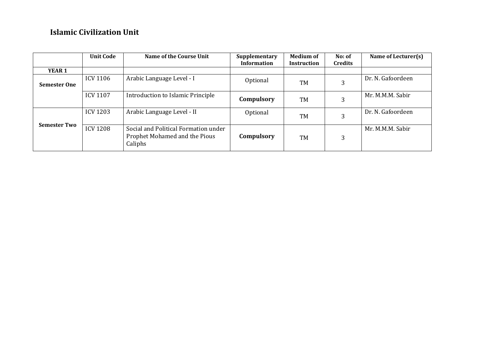#### **Islamic Civilization Unit**

|                     | <b>Unit Code</b> | Name of the Course Unit                                                          | Supplementary<br><b>Information</b> | <b>Medium of</b><br><b>Instruction</b> | No: of<br><b>Credits</b> | Name of Lecturer(s) |
|---------------------|------------------|----------------------------------------------------------------------------------|-------------------------------------|----------------------------------------|--------------------------|---------------------|
| <b>YEAR 1</b>       |                  |                                                                                  |                                     |                                        |                          |                     |
| <b>Semester One</b> | <b>ICV 1106</b>  | Arabic Language Level - I                                                        | Optional                            | <b>TM</b>                              | 3                        | Dr. N. Gafoordeen   |
|                     | <b>ICV 1107</b>  | Introduction to Islamic Principle                                                | Compulsory                          | TM                                     | 3                        | Mr. M.M.M. Sabir    |
|                     | <b>ICV 1203</b>  | Arabic Language Level - II                                                       | Optional                            | <b>TM</b>                              |                          | Dr. N. Gafoordeen   |
| <b>Semester Two</b> | <b>ICV 1208</b>  | Social and Political Formation under<br>Prophet Mohamed and the Pious<br>Caliphs | Compulsory                          | <b>TM</b>                              | 3                        | Mr. M.M.M. Sabir    |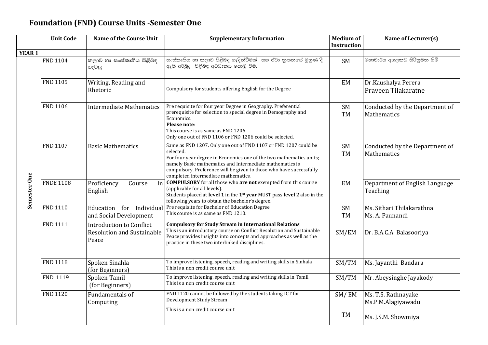#### **Foundation (FND) Course Units -Semester One**

|               | <b>Unit Code</b> | <b>Name of the Course Unit</b>                                                | <b>Supplementary Information</b>                                                                                                                                                                                                                                                                                              | <b>Medium of</b><br><b>Instruction</b> | Name of Lecturer(s)                           |
|---------------|------------------|-------------------------------------------------------------------------------|-------------------------------------------------------------------------------------------------------------------------------------------------------------------------------------------------------------------------------------------------------------------------------------------------------------------------------|----------------------------------------|-----------------------------------------------|
| <b>YEAR 1</b> |                  |                                                                               |                                                                                                                                                                                                                                                                                                                               |                                        |                                               |
| Semester One  | <b>FND 1104</b>  | කලාව හා සංස්කෘතිය පිළිබඳ<br>ගැටලු                                             | සංස්කෘතිය හා කලාව පිළිබඳ හැඳින්වීමක්  සහ ඒවා නූතනයේ මුහුණ දී<br>ඇති අර්බුදු පිළිබඳ අවධානය යොමු වීම.                                                                                                                                                                                                                           | <b>SM</b>                              | මහාචාර්ය අගලකඩ සිරිසුමන හිමි                  |
|               | <b>FND 1105</b>  | Writing, Reading and<br>Rhetoric                                              | Compulsory for students offering English for the Degree                                                                                                                                                                                                                                                                       | EM                                     | Dr.Kaushalya Perera<br>Praveen Tilakaratne    |
|               | <b>FND 1106</b>  | <b>Intermediate Mathematics</b>                                               | Pre requisite for four year Degree in Geography. Preferential<br>prerequisite for selection to special degree in Demography and<br>Economics.<br>Please note:<br>This course is as same as FND 1206.<br>Only one out of FND 1106 or FND 1206 could be selected.                                                               | SM<br>TM                               | Conducted by the Department of<br>Mathematics |
|               | <b>FND 1107</b>  | <b>Basic Mathematics</b>                                                      | Same as FND 1207. Only one out of FND 1107 or FND 1207 could be<br>selected.<br>For four year degree in Economics one of the two mathematics units;<br>namely Basic mathematics and Intermediate mathematics is<br>compulsory. Preference will be given to those who have successfully<br>completed intermediate mathematics. | SM<br>TM                               | Conducted by the Department of<br>Mathematics |
|               | <b>FNDE 1108</b> | Proficiency<br>Course<br>in<br>English                                        | <b>COMPULSORY</b> for all those who are not exempted from this course<br>(applicable for all levels).<br>Students placed at level 1 in the 1 <sup>st</sup> year MUST pass level 2 also in the<br>following years to obtain the bachelor's degree.                                                                             | EM                                     | Department of English Language<br>Teaching    |
|               | <b>FND 1110</b>  | Education for Individual<br>and Social Development                            | Pre requisite for Bachelor of Education Degree<br>This course is as same as FND 1210.                                                                                                                                                                                                                                         | SM<br>TM                               | Ms. Sithari Thilakarathna<br>Ms. A. Paunandi  |
|               | FND 1111         | <b>Introduction to Conflict</b><br><b>Resolution and Sustainable</b><br>Peace | <b>Compulsory for Study Stream in International Relations</b><br>This is an introductory course on Conflict Resolution and Sustainable<br>Peace provides insights into concepts and approaches as well as the<br>practice in these two interlinked disciplines.                                                               | SM/EM                                  | Dr. B.A.C.A. Balasooriya                      |
|               | <b>FND 1118</b>  | Spoken Sinahla<br>(for Beginners)                                             | To improve listening, speech, reading and writing skills in Sinhala<br>This is a non credit course unit                                                                                                                                                                                                                       | SM/TM                                  | Ms. Jayanthi Bandara                          |
|               | FND 1119         | Spoken Tamil<br>(for Beginners)                                               | To improve listening, speech, reading and writing skills in Tamil<br>This is a non credit course unit                                                                                                                                                                                                                         | SM/TM                                  | Mr. Abeysinghe Jayakody                       |
|               | <b>FND 1120</b>  | Fundamentals of<br>Computing                                                  | FND 1120 cannot be followed by the students taking ICT for<br>Development Study Stream<br>This is a non credit course unit                                                                                                                                                                                                    | SM/EM                                  | Ms. T.S. Rathnayake<br>Ms.P.M.Alagiyawadu     |
|               |                  |                                                                               |                                                                                                                                                                                                                                                                                                                               | TM                                     | Ms. J.S.M. Showmiya                           |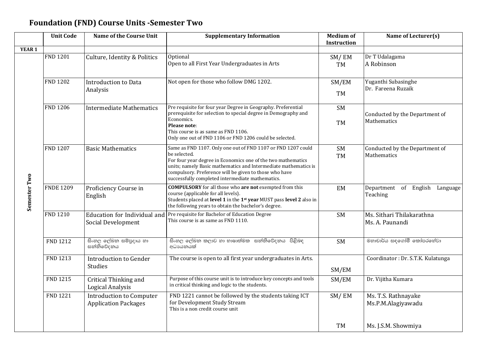#### **Foundation (FND) Course Units -Semester Two**

|              | <b>Unit Code</b><br><b>Name of the Course Unit</b> |                                                                | <b>Supplementary Information</b>                                                                                                                                                                                                                                                                                              | <b>Medium of</b><br>Instruction | Name of Lecturer(s)                           |
|--------------|----------------------------------------------------|----------------------------------------------------------------|-------------------------------------------------------------------------------------------------------------------------------------------------------------------------------------------------------------------------------------------------------------------------------------------------------------------------------|---------------------------------|-----------------------------------------------|
| YEAR 1       |                                                    |                                                                |                                                                                                                                                                                                                                                                                                                               |                                 |                                               |
| Semester Two | <b>FND 1201</b>                                    | Culture, Identity & Politics                                   | Optional<br>Open to all First Year Undergraduates in Arts                                                                                                                                                                                                                                                                     | SM/EM<br>TM                     | Dr T Udalagama<br>A Robinson                  |
|              | <b>FND 1202</b>                                    | <b>Introduction to Data</b><br>Analysis                        | Not open for those who follow DMG 1202.                                                                                                                                                                                                                                                                                       | SM/EM<br>TM                     | Yuganthi Subasinghe<br>Dr. Fareena Ruzaik     |
|              | <b>FND 1206</b>                                    | <b>Intermediate Mathematics</b>                                | Pre requisite for four year Degree in Geography. Preferential<br>prerequisite for selection to special degree in Demography and<br>Economics.<br>Please note:<br>This course is as same as FND 1106.<br>Only one out of FND 1106 or FND 1206 could be selected.                                                               | <b>SM</b><br><b>TM</b>          | Conducted by the Department of<br>Mathematics |
|              | <b>FND 1207</b>                                    | <b>Basic Mathematics</b>                                       | Same as FND 1107. Only one out of FND 1107 or FND 1207 could<br>be selected.<br>For four year degree in Economics one of the two mathematics<br>units; namely Basic mathematics and Intermediate mathematics is<br>compulsory. Preference will be given to those who have<br>successfully completed intermediate mathematics. | <b>SM</b><br><b>TM</b>          | Conducted by the Department of<br>Mathematics |
|              | <b>FNDE 1209</b>                                   | Proficiency Course in<br>English                               | <b>COMPULSORY</b> for all those who are not exempted from this<br>course (applicable for all levels).<br>Students placed at level 1 in the 1st year MUST pass level 2 also in<br>the following years to obtain the bachelor's degree.                                                                                         | EM                              | Department of English Language<br>Teaching    |
|              | <b>FND 1210</b>                                    | Education for Individual and<br>Social Development             | Pre requisite for Bachelor of Education Degree<br>This course is as same as FND 1110.                                                                                                                                                                                                                                         | <b>SM</b>                       | Ms. Sithari Thilakarathna<br>Ms. A. Paunandi  |
|              | FND 1212                                           | සිංහල ලේඛන සම්පුදාය හා<br>සන්නිවේදනය                           | සිංහල ලේඛන කලාව හා භාෂාත්මක  සන්නිවේදනය  පිළිබඳ<br>අධායනයක්                                                                                                                                                                                                                                                                   | <b>SM</b>                       | මහාචාර්ය සඳගෝමී කෝපරහේවා                      |
|              | FND 1213                                           | <b>Introduction to Gender</b><br><b>Studies</b>                | The course is open to all first year undergraduates in Arts.                                                                                                                                                                                                                                                                  | SM/EM                           | Coordinator : Dr. S.T.K. Kulatunga            |
|              | FND 1215                                           | Critical Thinking and<br>Logical Analysis                      | Purpose of this course unit is to introduce key concepts and tools<br>in critical thinking and logic to the students.                                                                                                                                                                                                         | SM/EM                           | Dr. Vijitha Kumara                            |
|              | <b>FND 1221</b>                                    | <b>Introduction to Computer</b><br><b>Application Packages</b> | FND 1221 cannot be followed by the students taking ICT<br>for Development Study Stream<br>This is a non credit course unit                                                                                                                                                                                                    | SM/EM                           | Ms. T.S. Rathnayake<br>Ms.P.M.Alagiyawadu     |
|              |                                                    |                                                                |                                                                                                                                                                                                                                                                                                                               | <b>TM</b>                       | Ms. J.S.M. Showmiya                           |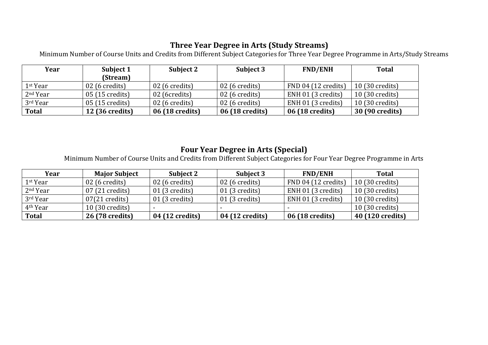#### **Three Year Degree in Arts (Study Streams)**

Minimum Number of Course Units and Credits from Different Subject Categories for Three Year Degree Programme in Arts/Study Streams

| Year                 | Subject 1               | Subject 2               | Subject 3               | <b>FND/ENH</b>      | <b>Total</b>             |
|----------------------|-------------------------|-------------------------|-------------------------|---------------------|--------------------------|
|                      | (Stream)                |                         |                         |                     |                          |
| 1 <sup>st</sup> Year | $02(6 \text{ credits})$ | $02(6 \text{ credits})$ | $\vert$ 02 (6 credits)  | FND 04 (12 credits) | $10(30 \text{ credits})$ |
| $2nd$ Year           | 05 (15 credits)         | 02 (6credits)           | $\vert$ 02 (6 credits)  | ENH 01 (3 credits)  | $10(30 \text{ credits})$ |
| 3rd Year             | 05 (15 credits)         | $02(6 \text{ credits})$ | $\vert$ 02 (6 credits)  | ENH 01 (3 credits)  | $10(30 \text{ credits})$ |
| <b>Total</b>         | <b>12 (36 credits)</b>  | 06 (18 credits)         | $\vert$ 06 (18 credits) | 06 (18 credits)     | 30 (90 credits)          |

#### **Four Year Degree in Arts (Special)**

Minimum Number of Course Units and Credits from Different Subject Categories for Four Year Degree Programme in Arts

| Year                 | <b>Major Subject</b>     | <b>Subject 2</b>        | Subject 3               | <b>FND/ENH</b>      | <b>Total</b>     |
|----------------------|--------------------------|-------------------------|-------------------------|---------------------|------------------|
| 1 <sup>st</sup> Year | $02(6 \text{ credits})$  | $02(6 \text{ credits})$ | $02(6 \text{ credits})$ | FND 04 (12 credits) | 10 (30 credits)  |
| 2 <sup>nd</sup> Year | $07(21 \text{ credits})$ | $01(3 \text{ credits})$ | $01(3 \text{ credits})$ | ENH 01 (3 credits)  | 10 (30 credits)  |
| 3rd Year             | $07(21 \text{ credits})$ | $01(3 \text{ credits})$ | $01(3 \text{ credits})$ | ENH 01 (3 credits)  | 10 (30 credits)  |
| 4 <sup>th</sup> Year | 10 (30 credits)          |                         |                         |                     | 10 (30 credits)  |
| <b>Total</b>         | 26 (78 credits)          | 04 (12 credits)         | 04 (12 credits)         | 06 (18 credits)     | 40 (120 credits) |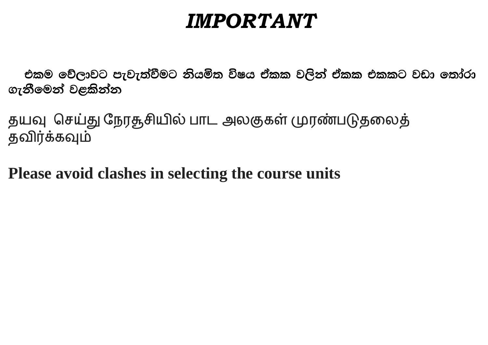## *IMPORTANT*

එකම වේලාවට පැවැත්වීමට නියමිත විෂය ඒකක වලින් ඒකක එකකට වඩා තෝරා ගැනීමෙන් වළකින්න

தயவு செய்து நேரதூசியில் பாட அலகுகள் முரண்படுதலைத் தவிர்க்கவும்

**Please avoid clashes in selecting the course units**